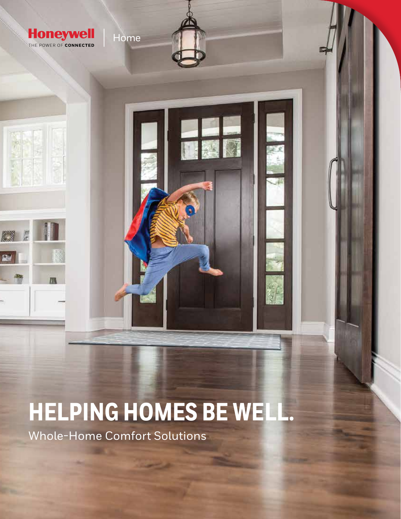

# **HELPING HOMES BE WELL.**

Whole-Home Comfort Solutions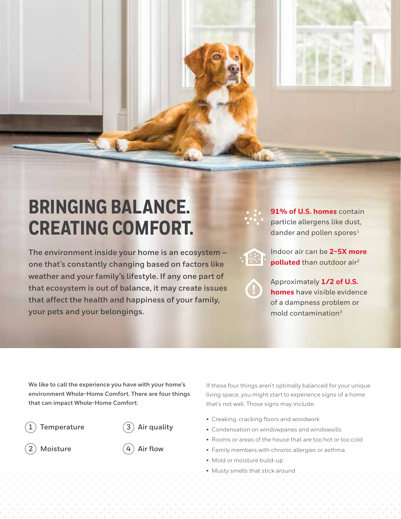# **BRINGING BALANCE. CREATING COMFORT.**

**The environment inside your home is an ecosystem – one that's constantly changing based on factors like weather and your family's lifestyle. If any one part of that ecosystem is out of balance, it may create issues that affect the health and happiness of your family, your pets and your belongings.**

**91% of U.S. homes** contain particle allergens like dust, dander and pollen spores<sup>1</sup>

Indoor air can be **2-5X more polluted** than outdoor air<sup>2</sup>

Approximately **1/2 of U.S. homes** have visible evidence of a dampness problem or mold contamination<sup>3</sup>

**We like to call the experience you have with your home's environment Whole-Home Comfort. There are four things that can impact Whole-Home Comfort:**

#### **1 Temperature**

**3 Air quality**

**2 Moisture**

**4 Air flow**

If these four things aren't optimally balanced for your unique living space, you might start to experience signs of a home that's not well. Those signs may include:

- Creaking, cracking floors and woodwork
- Condensation on windowpanes and windowsills
- Rooms or areas of the house that are too hot or too cold
- Family members with chronic allergies or asthma
- Mold or moisture build-up
- Musty smells that stick around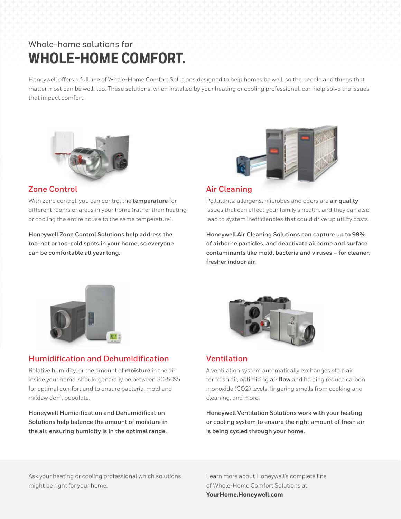## Whole-home solutions for **WHOLE-HOME COMFORT.**

Honeywell offers a full line of Whole-Home Comfort Solutions designed to help homes be well, so the people and things that matter most can be well, too. These solutions, when installed by your heating or cooling professional, can help solve the issues that impact comfort.



#### **Zone Control**

With zone control, you can control the **temperature** for different rooms or areas in your home (rather than heating or cooling the entire house to the same temperature).

**Honeywell Zone Control Solutions help address the too-hot or too-cold spots in your home, so everyone can be comfortable all year long.** 



#### **Air Cleaning**

Pollutants, allergens, microbes and odors are **air quality** issues that can affect your family's health, and they can also lead to system inefficiencies that could drive up utility costs.

**Honeywell Air Cleaning Solutions can capture up to 99% of airborne particles, and deactivate airborne and surface contaminants like mold, bacteria and viruses – for cleaner, fresher indoor air.**



#### **Humidification and Dehumidification**

Relative humidity, or the amount of **moisture** in the air inside your home, should generally be between 30-50% for optimal comfort and to ensure bacteria, mold and mildew don't populate.

**Honeywell Humidification and Dehumidification Solutions help balance the amount of moisture in the air, ensuring humidity is in the optimal range.**



#### **Ventilation**

A ventilation system automatically exchanges stale air for fresh air, optimizing **air flow** and helping reduce carbon monoxide (CO2) levels, lingering smells from cooking and cleaning, and more.

**Honeywell Ventilation Solutions work with your heating or cooling system to ensure the right amount of fresh air is being cycled through your home.**

Ask your heating or cooling professional which solutions might be right for your home.

Learn more about Honeywell's complete line of Whole-Home Comfort Solutions at **YourHome.Honeywell.com**